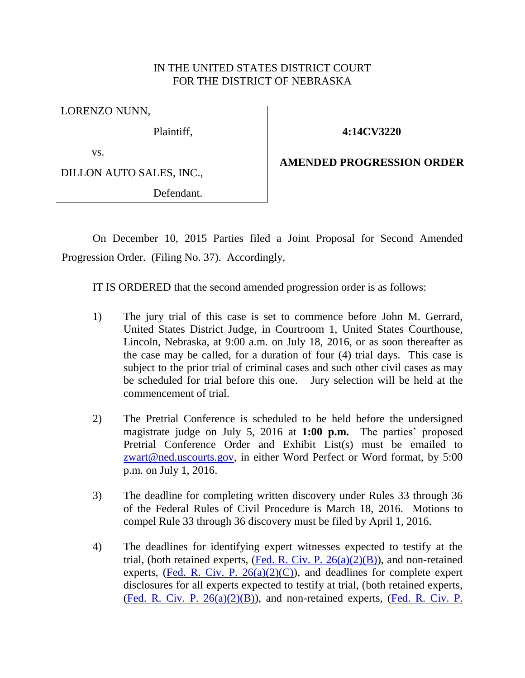## IN THE UNITED STATES DISTRICT COURT FOR THE DISTRICT OF NEBRASKA

LORENZO NUNN,

Plaintiff,

**4:14CV3220**

vs.

DILLON AUTO SALES, INC.,

Defendant.

**AMENDED PROGRESSION ORDER**

On December 10, 2015 Parties filed a Joint Proposal for Second Amended Progression Order. (Filing No. 37). Accordingly,

IT IS ORDERED that the second amended progression order is as follows:

- 1) The jury trial of this case is set to commence before John M. Gerrard, United States District Judge, in Courtroom 1, United States Courthouse, Lincoln, Nebraska, at 9:00 a.m. on July 18, 2016, or as soon thereafter as the case may be called, for a duration of four (4) trial days. This case is subject to the prior trial of criminal cases and such other civil cases as may be scheduled for trial before this one. Jury selection will be held at the commencement of trial.
- 2) The Pretrial Conference is scheduled to be held before the undersigned magistrate judge on July 5, 2016 at **1:00 p.m.** The parties' proposed Pretrial Conference Order and Exhibit List(s) must be emailed to [zwart@ned.uscourts.gov,](mailto:zwart@ned.uscourts.gov) in either Word Perfect or Word format, by 5:00 p.m. on July 1, 2016.
- 3) The deadline for completing written discovery under Rules 33 through 36 of the Federal Rules of Civil Procedure is March 18, 2016. Motions to compel Rule 33 through 36 discovery must be filed by April 1, 2016.
- 4) The deadlines for identifying expert witnesses expected to testify at the trial, (both retained experts,  $($ <u>Fed. R. Civ. P. 26(a)(2)(B)</u>), and non-retained experts, (Fed. R. Civ. P.  $26(a)(2)(C)$ ), and deadlines for complete expert disclosures for all experts expected to testify at trial, (both retained experts, [\(Fed. R. Civ. P.](https://web2.westlaw.com/find/default.wl?cite=frcp+26&rs=WLW12.04&vr=2.0&rp=%2ffind%2fdefault.wl&utid=1&fn=_top&mt=FederalGovernment&sv=Split)  $26(a)(2)(B)$ ), and non-retained experts, (Fed. R. Civ. P.